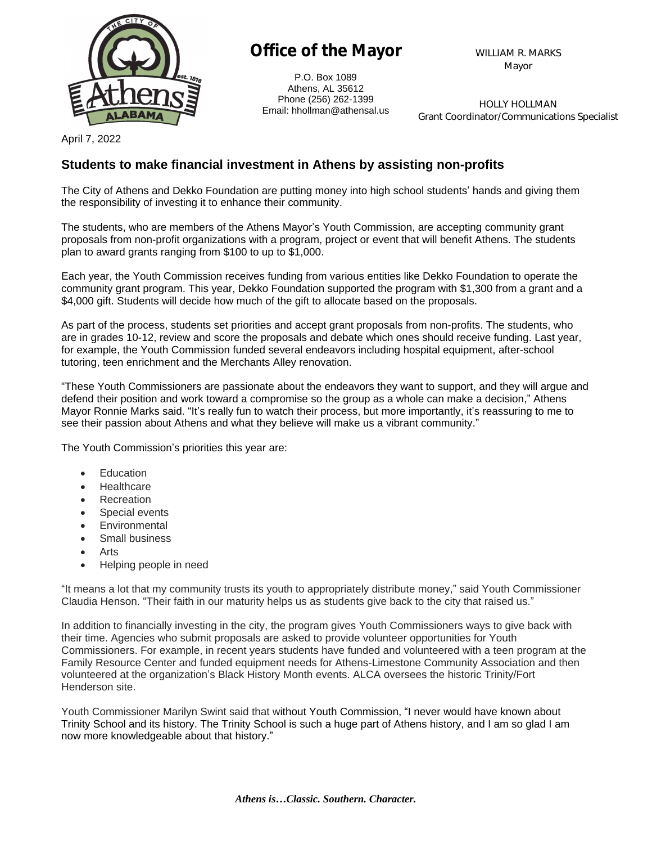

## **Office of the Mayor**

P.O. Box 1089 Athens, AL 35612 Phone (256) 262-1399 Email: hhollman@athensal.us **WILLIAM R. MARKS Mayor**

**HOLLY HOLLMAN Grant Coordinator/Communications Specialist**

April 7, 2022

## **Students to make financial investment in Athens by assisting non-profits**

The City of Athens and Dekko Foundation are putting money into high school students' hands and giving them the responsibility of investing it to enhance their community.

The students, who are members of the Athens Mayor's Youth Commission, are accepting community grant proposals from non-profit organizations with a program, project or event that will benefit Athens. The students plan to award grants ranging from \$100 to up to \$1,000.

Each year, the Youth Commission receives funding from various entities like Dekko Foundation to operate the community grant program. This year, Dekko Foundation supported the program with \$1,300 from a grant and a \$4,000 gift. Students will decide how much of the gift to allocate based on the proposals.

As part of the process, students set priorities and accept grant proposals from non-profits. The students, who are in grades 10-12, review and score the proposals and debate which ones should receive funding. Last year, for example, the Youth Commission funded several endeavors including hospital equipment, after-school tutoring, teen enrichment and the Merchants Alley renovation.

"These Youth Commissioners are passionate about the endeavors they want to support, and they will argue and defend their position and work toward a compromise so the group as a whole can make a decision," Athens Mayor Ronnie Marks said. "It's really fun to watch their process, but more importantly, it's reassuring to me to see their passion about Athens and what they believe will make us a vibrant community."

The Youth Commission's priorities this year are:

- Education
- **Healthcare**
- **Recreation**
- Special events
- Environmental
- Small business
- Arts
- Helping people in need

"It means a lot that my community trusts its youth to appropriately distribute money," said Youth Commissioner Claudia Henson. "Their faith in our maturity helps us as students give back to the city that raised us."

In addition to financially investing in the city, the program gives Youth Commissioners ways to give back with their time. Agencies who submit proposals are asked to provide volunteer opportunities for Youth Commissioners. For example, in recent years students have funded and volunteered with a teen program at the Family Resource Center and funded equipment needs for Athens-Limestone Community Association and then volunteered at the organization's Black History Month events. ALCA oversees the historic Trinity/Fort Henderson site.

Youth Commissioner Marilyn Swint said that without Youth Commission, "I never would have known about Trinity School and its history. The Trinity School is such a huge part of Athens history, and I am so glad I am now more knowledgeable about that history."